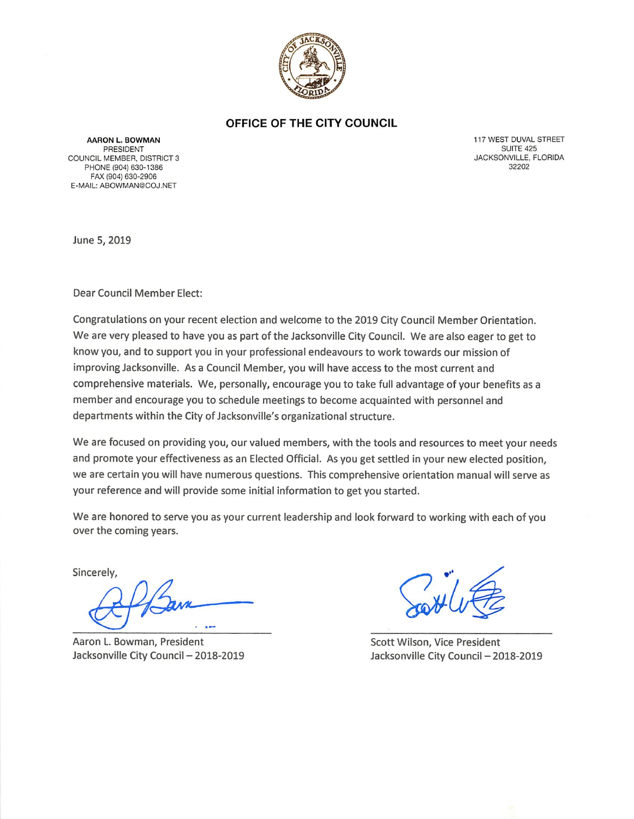

#### OFFICE OF THE CITY COUNCIL

**AARON L. BOWMAN PRESIDENT** COUNCIL MEMBER, DISTRICT 3 PHONE (904) 630-1386 FAX (904) 630-2906 E-MAIL: ABOWMAN@COJ.NET

117 WEST DUVAL STREET **SUITE 425** JACKSONVILLE, FLORIDA 32202

June 5, 2019

Dear Council Member Elect:

Congratulations on your recent election and welcome to the 2019 City Council Member Orientation. We are very pleased to have you as part of the Jacksonville City Council. We are also eager to get to know you, and to support you in your professional endeavours to work towards our mission of improving Jacksonville. As a Council Member, you will have access to the most current and comprehensive materials. We, personally, encourage you to take full advantage of your benefits as a member and encourage you to schedule meetings to become acquainted with personnel and departments within the City of Jacksonville's organizational structure.

We are focused on providing you, our valued members, with the tools and resources to meet your needs and promote your effectiveness as an Elected Official. As you get settled in your new elected position, we are certain you will have numerous questions. This comprehensive orientation manual will serve as your reference and will provide some initial information to get you started.

We are honored to serve you as your current leadership and look forward to working with each of you over the coming years.

Sincerely,

Aaron L. Bowman, President Jacksonville City Council - 2018-2019

Scott Wilson, Vice President Jacksonville City Council - 2018-2019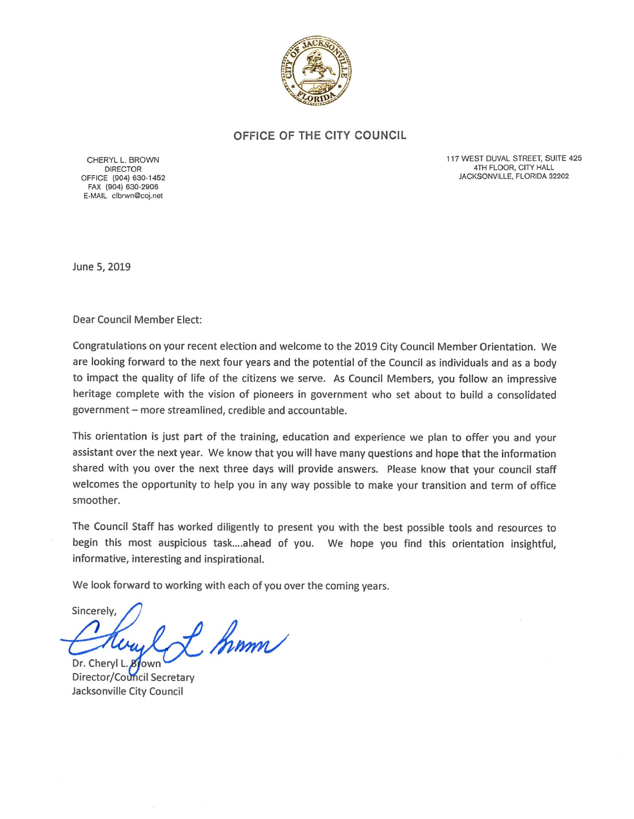

#### OFFICE OF THE CITY COUNCIL

CHERYL L. BROWN **DIRECTOR** OFFICE (904) 630-1452 FAX (904) 630-2906 E-MAIL clbrwn@coj.net

117 WEST DUVAL STREET, SUITE 425 4TH FLOOR, CITY HALL JACKSONVILLE, FLORIDA 32202

June 5, 2019

Dear Council Member Elect:

Congratulations on your recent election and welcome to the 2019 City Council Member Orientation. We are looking forward to the next four years and the potential of the Council as individuals and as a body to impact the quality of life of the citizens we serve. As Council Members, you follow an impressive heritage complete with the vision of pioneers in government who set about to build a consolidated government - more streamlined, credible and accountable.

This orientation is just part of the training, education and experience we plan to offer you and your assistant over the next year. We know that you will have many questions and hope that the information shared with you over the next three days will provide answers. Please know that your council staff welcomes the opportunity to help you in any way possible to make your transition and term of office smoother.

The Council Staff has worked diligently to present you with the best possible tools and resources to begin this most auspicious task....ahead of you. We hope you find this orientation insightful, informative, interesting and inspirational.

We look forward to working with each of you over the coming years.

Sincerely, l L. Kinn Dr. Cheryl L **Brown** 

Director/Council Secretary Jacksonville City Council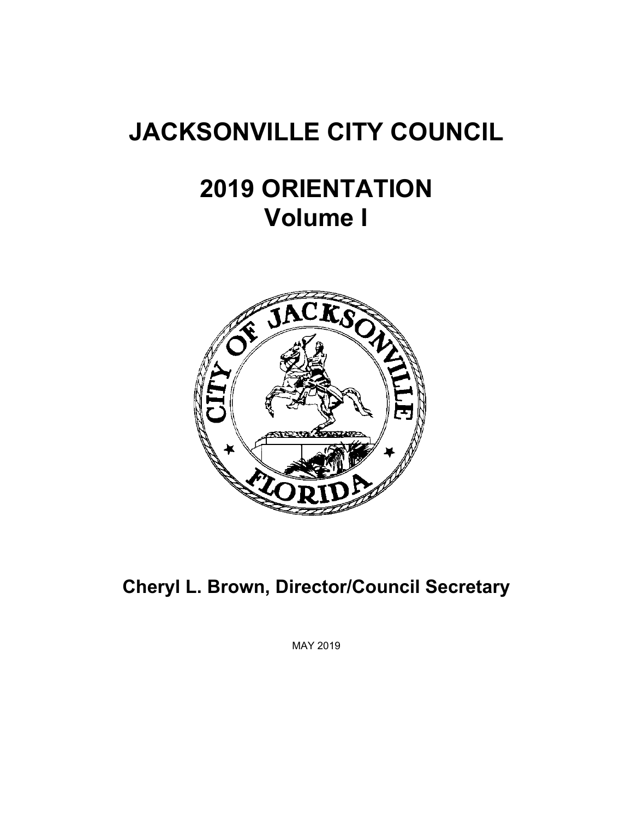# **JACKSONVILLE CITY COUNCIL**

# **2019 ORIENTATION Volume I**



**Cheryl L. Brown, Director/Council Secretary** 

MAY 2019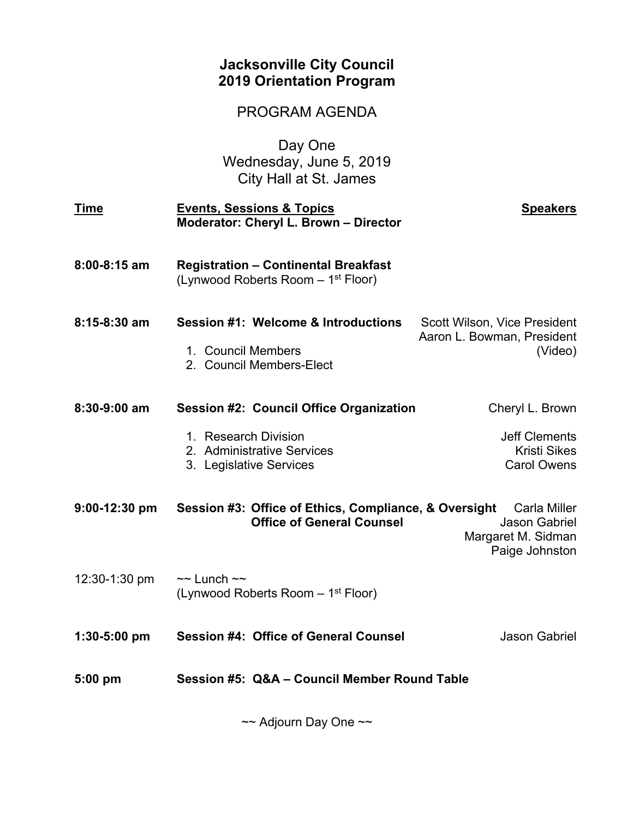## **Jacksonville City Council 2019 Orientation Program**

PROGRAM AGENDA

Day One Wednesday, June 5, 2019 City Hall at St. James

| <b>Time</b>      | <b>Events, Sessions &amp; Topics</b><br>Moderator: Cheryl L. Brown - Director                 | <b>Speakers</b>                                                              |
|------------------|-----------------------------------------------------------------------------------------------|------------------------------------------------------------------------------|
| $8:00 - 8:15$ am | <b>Registration - Continental Breakfast</b><br>(Lynwood Roberts Room – 1 <sup>st</sup> Floor) |                                                                              |
| $8:15-8:30$ am   | Session #1: Welcome & Introductions<br>1. Council Members<br>2. Council Members-Elect         | Scott Wilson, Vice President<br>Aaron L. Bowman, President<br>(Video)        |
| 8:30-9:00 am     | <b>Session #2: Council Office Organization</b>                                                | Cheryl L. Brown                                                              |
|                  | 1. Research Division<br>2. Administrative Services<br>3. Legislative Services                 | <b>Jeff Clements</b><br><b>Kristi Sikes</b><br><b>Carol Owens</b>            |
| $9:00-12:30$ pm  | Session #3: Office of Ethics, Compliance, & Oversight<br><b>Office of General Counsel</b>     | Carla Miller<br><b>Jason Gabriel</b><br>Margaret M. Sidman<br>Paige Johnston |
| 12:30-1:30 pm    | $\sim$ Lunch $\sim$<br>(Lynwood Roberts Room – 1 <sup>st</sup> Floor)                         |                                                                              |
| $1:30-5:00$ pm   | <b>Session #4: Office of General Counsel</b>                                                  | <b>Jason Gabriel</b>                                                         |
| $5:00$ pm        | Session #5: Q&A - Council Member Round Table                                                  |                                                                              |

~~ Adjourn Day One ~~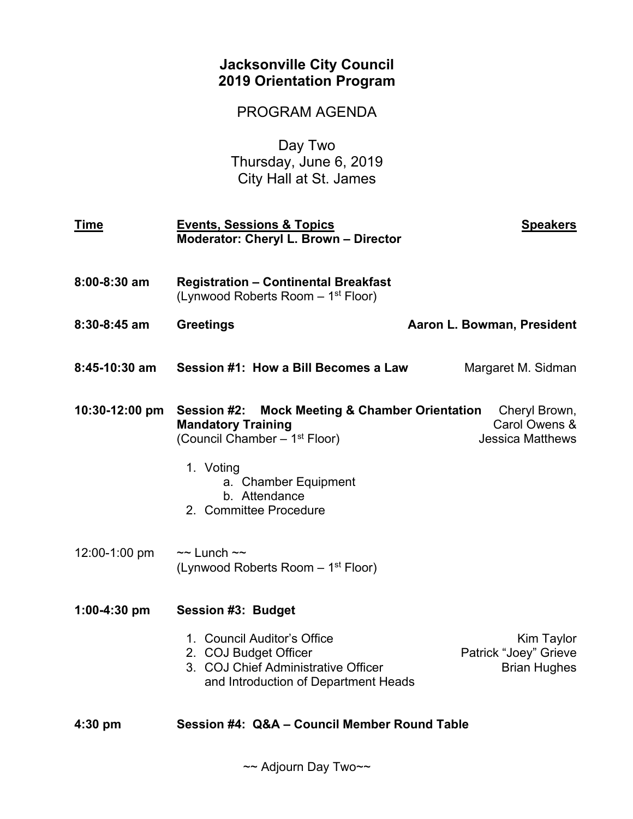## **Jacksonville City Council 2019 Orientation Program**

## PROGRAM AGENDA

Day Two Thursday, June 6, 2019 City Hall at St. James

| <b>Time</b>      | <b>Events, Sessions &amp; Topics</b><br>Moderator: Cheryl L. Brown - Director                                                                                                                                          | <b>Speakers</b>                                            |
|------------------|------------------------------------------------------------------------------------------------------------------------------------------------------------------------------------------------------------------------|------------------------------------------------------------|
| $8:00 - 8:30$ am | <b>Registration - Continental Breakfast</b><br>(Lynwood Roberts Room – 1 <sup>st</sup> Floor)                                                                                                                          |                                                            |
| $8:30-8:45$ am   | <b>Greetings</b>                                                                                                                                                                                                       | Aaron L. Bowman, President                                 |
| 8:45-10:30 am    | Session #1: How a Bill Becomes a Law                                                                                                                                                                                   | Margaret M. Sidman                                         |
| 10:30-12:00 pm   | <b>Mock Meeting &amp; Chamber Orientation</b><br>Session #2:<br><b>Mandatory Training</b><br>(Council Chamber - 1 <sup>st</sup> Floor)<br>1. Voting<br>a. Chamber Equipment<br>b. Attendance<br>2. Committee Procedure | Cheryl Brown,<br>Carol Owens &<br><b>Jessica Matthews</b>  |
| 12:00-1:00 pm    | $\sim$ Lunch $\sim$<br>(Lynwood Roberts Room - 1 <sup>st</sup> Floor)                                                                                                                                                  |                                                            |
| $1:00-4:30$ pm   | Session #3: Budget                                                                                                                                                                                                     |                                                            |
|                  | 1. Council Auditor's Office<br>2. COJ Budget Officer<br>3. COJ Chief Administrative Officer<br>and Introduction of Department Heads                                                                                    | Kim Taylor<br>Patrick "Joey" Grieve<br><b>Brian Hughes</b> |
| $4:30$ pm        | Session #4: Q&A - Council Member Round Table                                                                                                                                                                           |                                                            |

~~ Adjourn Day Two~~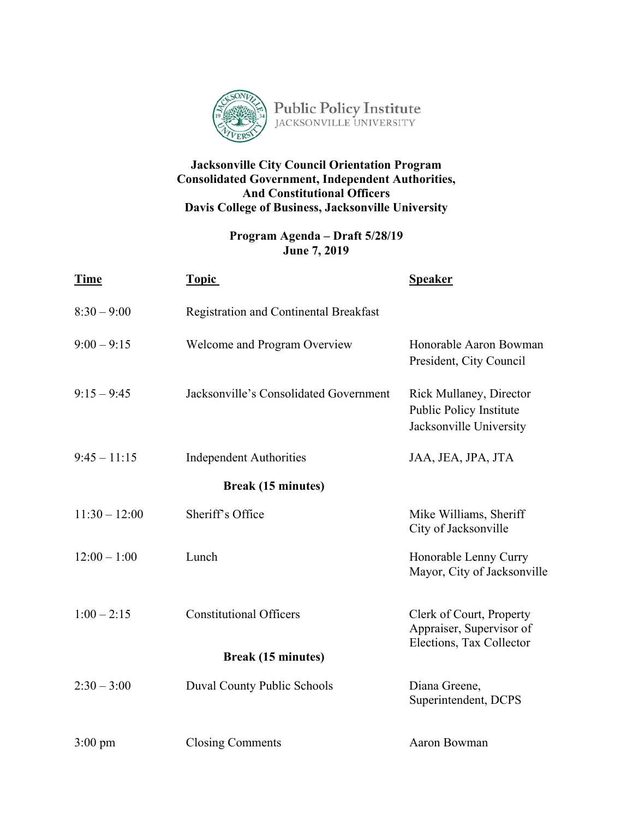

### **Jacksonville City Council Orientation Program Consolidated Government, Independent Authorities, And Constitutional Officers Davis College of Business, Jacksonville University**

### **Program Agenda – Draft 5/28/19 June 7, 2019**

| <b>Time</b>       | <b>Topic</b>                                  | <b>Speaker</b>                                                                       |
|-------------------|-----------------------------------------------|--------------------------------------------------------------------------------------|
| $8:30 - 9:00$     | <b>Registration and Continental Breakfast</b> |                                                                                      |
| $9:00 - 9:15$     | Welcome and Program Overview                  | Honorable Aaron Bowman<br>President, City Council                                    |
| $9:15 - 9:45$     | Jacksonville's Consolidated Government        | <b>Rick Mullaney, Director</b><br>Public Policy Institute<br>Jacksonville University |
| $9:45 - 11:15$    | <b>Independent Authorities</b>                | JAA, JEA, JPA, JTA                                                                   |
|                   | <b>Break (15 minutes)</b>                     |                                                                                      |
| $11:30 - 12:00$   | Sheriff's Office                              | Mike Williams, Sheriff<br>City of Jacksonville                                       |
| $12:00 - 1:00$    | Lunch                                         | Honorable Lenny Curry<br>Mayor, City of Jacksonville                                 |
| $1:00 - 2:15$     | <b>Constitutional Officers</b>                | Clerk of Court, Property<br>Appraiser, Supervisor of<br>Elections, Tax Collector     |
|                   | <b>Break (15 minutes)</b>                     |                                                                                      |
| $2:30 - 3:00$     | Duval County Public Schools                   | Diana Greene,<br>Superintendent, DCPS                                                |
| $3:00 \text{ pm}$ | <b>Closing Comments</b>                       | Aaron Bowman                                                                         |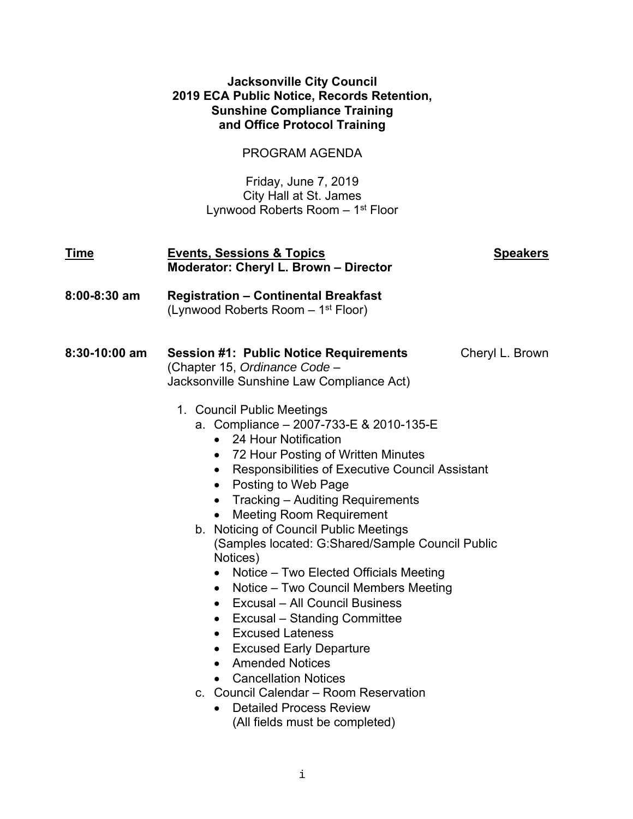#### **Jacksonville City Council 2019 ECA Public Notice, Records Retention, Sunshine Compliance Training and Office Protocol Training**

## PROGRAM AGENDA

Friday, June 7, 2019 City Hall at St. James Lynwood Roberts Room – 1st Floor

| <u>Time</u>   | <b>Events, Sessions &amp; Topics</b><br>Moderator: Cheryl L. Brown - Director                                                                                                                                                                                                                                                                                                                                                                                                                                                                                                                                                                                                                                                                                                                                                                                                                                                                                                                                                                                                                                                   | <b>Speakers</b> |
|---------------|---------------------------------------------------------------------------------------------------------------------------------------------------------------------------------------------------------------------------------------------------------------------------------------------------------------------------------------------------------------------------------------------------------------------------------------------------------------------------------------------------------------------------------------------------------------------------------------------------------------------------------------------------------------------------------------------------------------------------------------------------------------------------------------------------------------------------------------------------------------------------------------------------------------------------------------------------------------------------------------------------------------------------------------------------------------------------------------------------------------------------------|-----------------|
| 8:00-8:30 am  | <b>Registration - Continental Breakfast</b><br>(Lynwood Roberts Room – 1 <sup>st</sup> Floor)                                                                                                                                                                                                                                                                                                                                                                                                                                                                                                                                                                                                                                                                                                                                                                                                                                                                                                                                                                                                                                   |                 |
| 8:30-10:00 am | <b>Session #1: Public Notice Requirements</b><br>(Chapter 15, Ordinance Code -<br>Jacksonville Sunshine Law Compliance Act)<br>1. Council Public Meetings<br>a. Compliance - 2007-733-E & 2010-135-E<br>24 Hour Notification<br>$\bullet$<br>72 Hour Posting of Written Minutes<br>$\bullet$<br>Responsibilities of Executive Council Assistant<br>$\bullet$<br>Posting to Web Page<br>$\bullet$<br>Tracking - Auditing Requirements<br>$\bullet$<br><b>Meeting Room Requirement</b><br>$\bullet$<br>b. Noticing of Council Public Meetings<br>(Samples located: G:Shared/Sample Council Public<br>Notices)<br>Notice – Two Elected Officials Meeting<br>$\bullet$<br>Notice - Two Council Members Meeting<br>$\bullet$<br>Excusal - All Council Business<br>$\bullet$<br><b>Excusal – Standing Committee</b><br>$\bullet$<br><b>Excused Lateness</b><br>$\bullet$<br><b>Excused Early Departure</b><br>$\bullet$<br><b>Amended Notices</b><br>$\bullet$<br><b>Cancellation Notices</b><br>$\bullet$<br>c. Council Calendar – Room Reservation<br><b>Detailed Process Review</b><br>$\bullet$<br>(All fields must be completed) | Cheryl L. Brown |